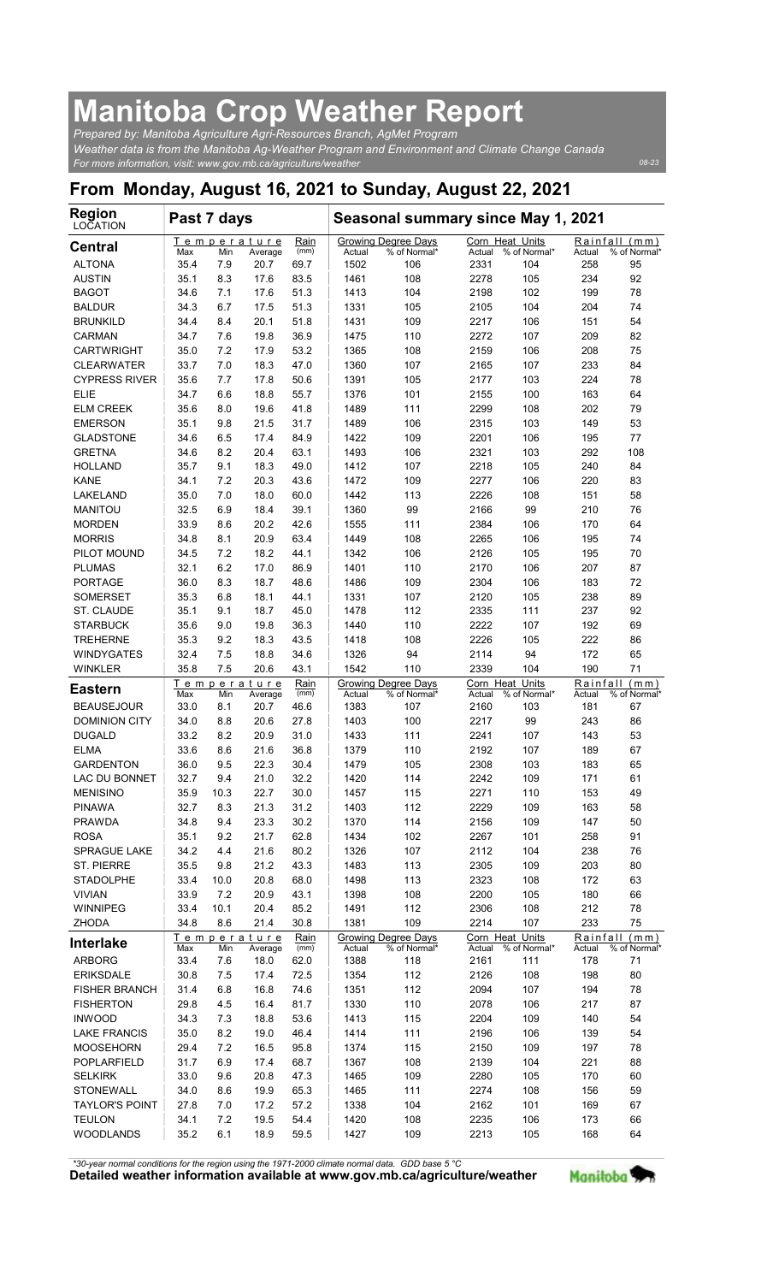## Manitoba Crop Weather Report

| <b>Manitoba Crop Weather Report</b>                                                                                                                                      |              |             |                        |              |                |                                                           |                |                                 |                    |                                  |
|--------------------------------------------------------------------------------------------------------------------------------------------------------------------------|--------------|-------------|------------------------|--------------|----------------|-----------------------------------------------------------|----------------|---------------------------------|--------------------|----------------------------------|
| Prepared by: Manitoba Agriculture Agri-Resources Branch, AgMet Program<br>Weather data is from the Manitoba Ag-Weather Program and Environment and Climate Change Canada |              |             |                        |              |                |                                                           |                |                                 |                    |                                  |
| For more information, visit: www.gov.mb.ca/agriculture/weather                                                                                                           |              |             |                        |              |                |                                                           |                |                                 |                    | 08-23                            |
| From Monday, August 16, 2021 to Sunday, August 22, 2021<br><b>Region</b>                                                                                                 |              |             |                        |              |                |                                                           |                |                                 |                    |                                  |
| LOCATION                                                                                                                                                                 | Past 7 days  |             | Temperature            | Rain         |                | Seasonal summary since May 1, 2021<br>Growing Degree Days |                | Corn Heat Units                 |                    | Rainfall (mm)                    |
| <b>Central</b><br><b>ALTONA</b>                                                                                                                                          | Max<br>35.4  | Min<br>7.9  | Average<br>20.7        | (mm)<br>69.7 | Actual<br>1502 | % of Normal*<br>106                                       | Actual<br>2331 | % of Normal*<br>104             | Actual<br>258      | % of Normal<br>95                |
| <b>AUSTIN</b>                                                                                                                                                            | 35.1         | 8.3         | 17.6                   | 83.5<br>51.3 | 1461           | 108                                                       | 2278           | 105                             | 234                | 92                               |
| <b>BAGOT</b><br><b>BALDUR</b>                                                                                                                                            | 34.6<br>34.3 | 7.1<br>6.7  | 17.6<br>17.5           | 51.3         | 1413<br>1331   | 104<br>105                                                | 2198<br>2105   | 102<br>104                      | 199<br>204         | 78<br>74                         |
| <b>BRUNKILD</b><br>CARMAN                                                                                                                                                | 34.4<br>34.7 | 8.4<br>7.6  | 20.1<br>19.8           | 51.8<br>36.9 | 1431<br>1475   | 109<br>110                                                | 2217<br>2272   | 106<br>107                      | 151<br>209         | 54<br>82                         |
| <b>CARTWRIGHT</b><br><b>CLEARWATER</b>                                                                                                                                   | 35.0<br>33.7 | 7.2<br>7.0  | 17.9<br>18.3           | 53.2<br>47.0 | 1365<br>1360   | 108<br>107                                                | 2159<br>2165   | 106<br>107                      | 208<br>233         | 75<br>84                         |
| <b>CYPRESS RIVER</b>                                                                                                                                                     | 35.6         | 7.7         | 17.8                   | 50.6         | 1391           | 105                                                       | 2177           | 103                             | 224                | 78                               |
| <b>ELIE</b><br><b>ELM CREEK</b>                                                                                                                                          | 34.7<br>35.6 | 6.6<br>8.0  | 18.8<br>19.6           | 55.7<br>41.8 | 1376<br>1489   | 101<br>111                                                | 2155<br>2299   | 100<br>108                      | 163<br>202         | 64<br>79                         |
| <b>EMERSON</b><br><b>GLADSTONE</b>                                                                                                                                       | 35.1<br>34.6 | 9.8<br>6.5  | 21.5<br>17.4           | 31.7<br>84.9 | 1489<br>1422   | 106<br>109                                                | 2315<br>2201   | 103<br>106                      | 149<br>195         | 53<br>77                         |
| <b>GRETNA</b>                                                                                                                                                            | 34.6         | 8.2         | 20.4                   | 63.1         | 1493           | 106                                                       | 2321           | 103                             | 292                | 108                              |
| <b>HOLLAND</b><br><b>KANE</b>                                                                                                                                            | 35.7<br>34.1 | 9.1<br>7.2  | 18.3<br>20.3           | 49.0<br>43.6 | 1412<br>1472   | 107<br>109                                                | 2218<br>2277   | 105<br>106                      | 240<br>220         | 84<br>83                         |
| LAKELAND<br><b>MANITOU</b>                                                                                                                                               | 35.0<br>32.5 | 7.0<br>6.9  | 18.0<br>18.4           | 60.0<br>39.1 | 1442<br>1360   | 113<br>99                                                 | 2226<br>2166   | 108<br>99                       | 151<br>210         | 58<br>76                         |
| <b>MORDEN</b>                                                                                                                                                            | 33.9         | 8.6         | 20.2                   | 42.6         | 1555           | 111                                                       | 2384           | 106                             | 170                | 64<br>74                         |
| <b>MORRIS</b><br>PILOT MOUND                                                                                                                                             | 34.8<br>34.5 | 8.1<br>7.2  | 20.9<br>18.2           | 63.4<br>44.1 | 1449<br>1342   | 108<br>106                                                | 2265<br>2126   | 106<br>105                      | 195<br>195         | 70                               |
| <b>PLUMAS</b><br><b>PORTAGE</b>                                                                                                                                          | 32.1<br>36.0 | 6.2<br>8.3  | 17.0<br>18.7           | 86.9<br>48.6 | 1401<br>1486   | 110<br>109                                                | 2170<br>2304   | 106<br>106                      | 207<br>183         | 87<br>72                         |
| <b>SOMERSET</b>                                                                                                                                                          | 35.3         | 6.8         | 18.1                   | 44.1         | 1331           | 107                                                       | 2120           | 105                             | 238                | 89                               |
| ST. CLAUDE<br><b>STARBUCK</b>                                                                                                                                            | 35.1<br>35.6 | 9.1<br>9.0  | 18.7<br>19.8           | 45.0<br>36.3 | 1478<br>1440   | 112<br>110                                                | 2335<br>2222   | 111<br>107                      | 237<br>192         | 92<br>69                         |
| <b>TREHERNE</b><br><b>WINDYGATES</b>                                                                                                                                     | 35.3<br>32.4 | 9.2<br>7.5  | 18.3<br>18.8           | 43.5<br>34.6 | 1418<br>1326   | 108<br>94                                                 | 2226<br>2114   | 105<br>94                       | 222<br>172         | 86<br>65                         |
| <b>WINKLER</b>                                                                                                                                                           | 35.8         | 7.5         | 20.6                   | 43.1         | 1542           | 110                                                       | 2339           | 104                             | 190                | 71                               |
| <b>Eastern</b>                                                                                                                                                           | Max          | Min         | Temperature<br>Average | Rain<br>(mm) | Actual         | Growing Degree Days<br>% of Normal'                       | Actual         | Corn Heat Units<br>% of Normal* | Rainfall<br>Actual | (m <sub>m</sub> )<br>% of Normal |
| <b>BEAUSEJOUR</b><br><b>DOMINION CITY</b>                                                                                                                                | 33.0<br>34.0 | 8.1<br>8.8  | 20.7<br>20.6           | 46.6<br>27.8 | 1383<br>1403   | 107<br>100                                                | 2160<br>2217   | 103<br>99                       | 181<br>243         | 67<br>86                         |
| <b>DUGALD</b><br><b>ELMA</b>                                                                                                                                             | 33.2<br>33.6 | 8.2<br>8.6  | 20.9<br>21.6           | 31.0<br>36.8 | 1433<br>1379   | 111<br>110                                                | 2241<br>2192   | 107<br>107                      | 143<br>189         | 53<br>67                         |
| <b>GARDENTON</b><br>LAC DU BONNET                                                                                                                                        | 36.0<br>32.7 | 9.5<br>9.4  | 22.3<br>21.0           | 30.4<br>32.2 | 1479<br>1420   | 105<br>114                                                | 2308<br>2242   | 103                             | 183<br>171         | 65                               |
| <b>MENISINO</b>                                                                                                                                                          | 35.9         | 10.3        | 22.7                   | 30.0         | 1457           | 115                                                       | 2271           | 109<br>110                      | 153                | 61<br>49                         |
| <b>PINAWA</b><br><b>PRAWDA</b>                                                                                                                                           | 32.7<br>34.8 | 8.3<br>9.4  | 21.3<br>23.3           | 31.2<br>30.2 | 1403<br>1370   | 112<br>114                                                | 2229<br>2156   | 109<br>109                      | 163<br>147         | 58<br>50                         |
| <b>ROSA</b><br>SPRAGUE LAKE                                                                                                                                              | 35.1         | 9.2         | 21.7                   | 62.8         | 1434           | 102                                                       | 2267           | 101                             | 258                | 91                               |
| <b>ST. PIERRE</b>                                                                                                                                                        | 34.2<br>35.5 | 4.4<br>9.8  | 21.6<br>21.2           | 80.2<br>43.3 | 1326<br>1483   | 107<br>113                                                | 2112<br>2305   | 104<br>109                      | 238<br>203         | 76<br>80                         |
| <b>STADOLPHE</b><br><b>VIVIAN</b>                                                                                                                                        | 33.4<br>33.9 | 10.0<br>7.2 | 20.8<br>20.9           | 68.0<br>43.1 | 1498<br>1398   | 113<br>108                                                | 2323<br>2200   | 108<br>105                      | 172<br>180         | 63<br>66                         |
| WINNIPEG<br><b>ZHODA</b>                                                                                                                                                 | 33.4<br>34.8 | 10.1<br>8.6 | 20.4<br>21.4           | 85.2<br>30.8 | 1491<br>1381   | 112<br>109                                                | 2306<br>2214   | 108<br>107                      | 212<br>233         | 78<br>75                         |
| <b>Interlake</b>                                                                                                                                                         | Max          | Min         | Temperature<br>Average | Rain<br>(mm) | Actual         | Growing Degree Days<br>% of Normal*                       | Actual         | Corn Heat Units<br>% of Normal* | Actual             | Rainfall (mm)<br>% of Normal*    |
| <b>ARBORG</b><br><b>ERIKSDALE</b>                                                                                                                                        | 33.4<br>30.8 | 7.6<br>7.5  | 18.0                   | 62.0<br>72.5 | 1388<br>1354   | 118<br>112                                                | 2161<br>2126   | 111<br>108                      | 178<br>198         | 71<br>80                         |
| <b>FISHER BRANCH</b>                                                                                                                                                     | 31.4         | 6.8         | 17.4<br>16.8           | 74.6         | 1351           | 112                                                       | 2094           | 107                             | 194                | 78                               |
| <b>FISHERTON</b><br><b>INWOOD</b>                                                                                                                                        | 29.8<br>34.3 | 4.5<br>7.3  | 16.4<br>18.8           | 81.7<br>53.6 | 1330<br>1413   | 110<br>115                                                | 2078<br>2204   | 106<br>109                      | 217<br>140         | 87<br>54                         |
| <b>LAKE FRANCIS</b><br><b>MOOSEHORN</b>                                                                                                                                  | 35.0<br>29.4 | 8.2<br>7.2  | 19.0<br>16.5           | 46.4<br>95.8 | 1414<br>1374   | 111<br>115                                                | 2196<br>2150   | 106<br>109                      | 139<br>197         | 54<br>78                         |
| POPLARFIELD                                                                                                                                                              | 31.7         | 6.9         | 17.4                   | 68.7         | 1367           | 108                                                       | 2139           | 104                             | 221                | 88                               |
| <b>SELKIRK</b><br>STONEWALL                                                                                                                                              | 33.0<br>34.0 | 9.6<br>8.6  | 20.8<br>19.9           | 47.3<br>65.3 | 1465<br>1465   | 109<br>111                                                | 2280<br>2274   | 105<br>108                      | 170<br>156         | 60<br>59                         |
| <b>TAYLOR'S POINT</b><br><b>TEULON</b>                                                                                                                                   | 27.8<br>34.1 | 7.0<br>7.2  | 17.2<br>19.5           | 57.2<br>54.4 | 1338<br>1420   | 104<br>108                                                | 2162<br>2235   | 101<br>106                      | 169<br>173         | 67<br>66                         |
| <b>WOODLANDS</b>                                                                                                                                                         | 35.2         | 6.1         | 18.9                   | 59.5         | 1427           | 109                                                       | 2213           | 105                             | 168                | 64                               |

\*30-year normal conditions for the region using the 1971-2000 climate normal data. GDD base 5 °C<br>Detailed weather information available at www.gov.mb.ca/agriculture/weather Manitoba